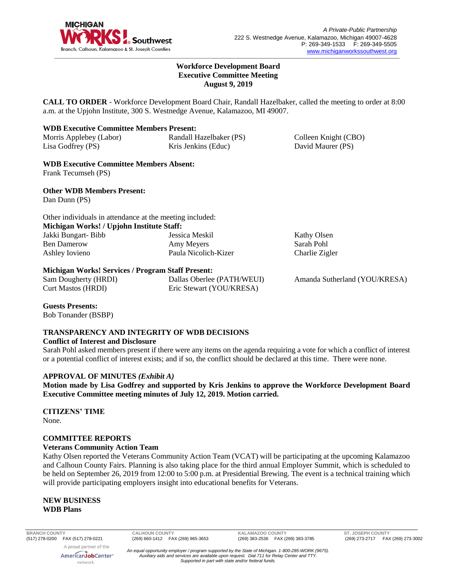

Colleen Knight (CBO) David Maurer (PS)

Kathy Olsen Sarah Pohl Charlie Zigler

#### **Workforce Development Board Executive Committee Meeting August 9, 2019**

**CALL TO ORDER** - Workforce Development Board Chair, Randall Hazelbaker, called the meeting to order at 8:00 a.m. at the Upjohn Institute, 300 S. Westnedge Avenue, Kalamazoo, MI 49007.

## **WDB Executive Committee Members Present:**

Morris Applebey (Labor) Lisa Godfrey (PS) Randall Hazelbaker (PS) Kris Jenkins (Educ)

**WDB Executive Committee Members Absent:** Frank Tecumseh (PS)

**Other WDB Members Present:** Dan Dunn (PS)

Other individuals in attendance at the meeting included: **Michigan Works! / Upjohn Institute Staff:** Jakki Bungart- Bibb Ben Damerow Ashley Iovieno Jessica Meskil Amy Meyers Paula Nicolich-Kizer

## **Michigan Works! Services / Program Staff Present:**

| Sam Dougherty (HRDI) | Dallas Oberlee (PATH/WEUI) |
|----------------------|----------------------------|
| Curt Mastos (HRDI)   | Eric Stewart (YOU/KRESA)   |

Amanda Sutherland (YOU/KRESA)

## **Guests Presents:**

Bob Tonander (BSBP)

## **TRANSPARENCY AND INTEGRITY OF WDB DECISIONS**

#### **Conflict of Interest and Disclosure**

Sarah Pohl asked members present if there were any items on the agenda requiring a vote for which a conflict of interest or a potential conflict of interest exists; and if so, the conflict should be declared at this time. There were none.

#### **APPROVAL OF MINUTES** *(Exhibit A)*

**Motion made by Lisa Godfrey and supported by Kris Jenkins to approve the Workforce Development Board Executive Committee meeting minutes of July 12, 2019. Motion carried.** 

# **CITIZENS' TIME**

None.

## **COMMITTEE REPORTS**

## **Veterans Community Action Team**

Kathy Olsen reported the Veterans Community Action Team (VCAT) will be participating at the upcoming Kalamazoo and Calhoun County Fairs. Planning is also taking place for the third annual Employer Summit, which is scheduled to be held on September 26, 2019 from 12:00 to 5:00 p.m. at Presidential Brewing. The event is a technical training which will provide participating employers insight into educational benefits for Veterans.

**NEW BUSINESS WDB Plans**

A proud partner of the

**BRANCH COUNTY CALHOUN COUNTY KALAMAZOO COUNTY ST. JOSEPH COUNTY**

AmericanJobCenter<sup>®</sup> network

*An equal opportunity employer / program supported by the State of Michigan. 1-800-285-WORK (9675). Auxiliary aids and services are available upon request. Dial 711 for Relay Center and TTY. Supported in part with state and/or federal funds.*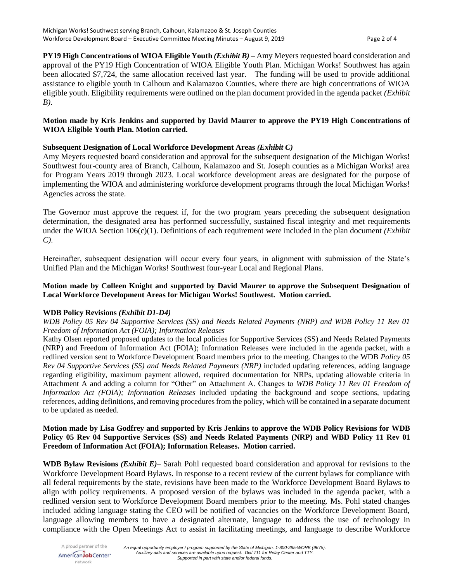**PY19 High Concentrations of WIOA Eligible Youth** *(Exhibit B)* – Amy Meyers requested board consideration and approval of the PY19 High Concentration of WIOA Eligible Youth Plan. Michigan Works! Southwest has again been allocated \$7,724, the same allocation received last year. The funding will be used to provide additional assistance to eligible youth in Calhoun and Kalamazoo Counties, where there are high concentrations of WIOA eligible youth. Eligibility requirements were outlined on the plan document provided in the agenda packet *(Exhibit B)*.

## **Motion made by Kris Jenkins and supported by David Maurer to approve the PY19 High Concentrations of WIOA Eligible Youth Plan. Motion carried.**

## **Subsequent Designation of Local Workforce Development Areas** *(Exhibit C)*

Amy Meyers requested board consideration and approval for the subsequent designation of the Michigan Works! Southwest four-county area of Branch, Calhoun, Kalamazoo and St. Joseph counties as a Michigan Works! area for Program Years 2019 through 2023. Local workforce development areas are designated for the purpose of implementing the WIOA and administering workforce development programs through the local Michigan Works! Agencies across the state.

The Governor must approve the request if, for the two program years preceding the subsequent designation determination, the designated area has performed successfully, sustained fiscal integrity and met requirements under the WIOA Section 106(c)(1). Definitions of each requirement were included in the plan document *(Exhibit C)*.

Hereinafter, subsequent designation will occur every four years, in alignment with submission of the State's Unified Plan and the Michigan Works! Southwest four-year Local and Regional Plans.

## **Motion made by Colleen Knight and supported by David Maurer to approve the Subsequent Designation of Local Workforce Development Areas for Michigan Works! Southwest. Motion carried.**

## **WDB Policy Revisions** *(Exhibit D1-D4)*

*WDB Policy 05 Rev 04 Supportive Services (SS) and Needs Related Payments (NRP) and WDB Policy 11 Rev 01 Freedom of Information Act (FOIA); Information Releases*

Kathy Olsen reported proposed updates to the local policies for Supportive Services (SS) and Needs Related Payments (NRP) and Freedom of Information Act (FOIA); Information Releases were included in the agenda packet, with a redlined version sent to Workforce Development Board members prior to the meeting. Changes to the WDB *Policy 05 Rev 04 Supportive Services (SS) and Needs Related Payments (NRP)* included updating references, adding language regarding eligibility, maximum payment allowed, required documentation for NRPs, updating allowable criteria in Attachment A and adding a column for "Other" on Attachment A. Changes to *WDB Policy 11 Rev 01 Freedom of Information Act (FOIA); Information Releases* included updating the background and scope sections, updating references, adding definitions, and removing procedures from the policy, which will be contained in a separate document to be updated as needed.

### **Motion made by Lisa Godfrey and supported by Kris Jenkins to approve the WDB Policy Revisions for WDB Policy 05 Rev 04 Supportive Services (SS) and Needs Related Payments (NRP) and WBD Policy 11 Rev 01 Freedom of Information Act (FOIA); Information Releases. Motion carried.**

**WDB Bylaw Revisions** *(Exhibit E)*– Sarah Pohl requested board consideration and approval for revisions to the Workforce Development Board Bylaws. In response to a recent review of the current bylaws for compliance with all federal requirements by the state, revisions have been made to the Workforce Development Board Bylaws to align with policy requirements. A proposed version of the bylaws was included in the agenda packet, with a redlined version sent to Workforce Development Board members prior to the meeting. Ms. Pohl stated changes included adding language stating the CEO will be notified of vacancies on the Workforce Development Board, language allowing members to have a designated alternate, language to address the use of technology in compliance with the Open Meetings Act to assist in facilitating meetings, and language to describe Workforce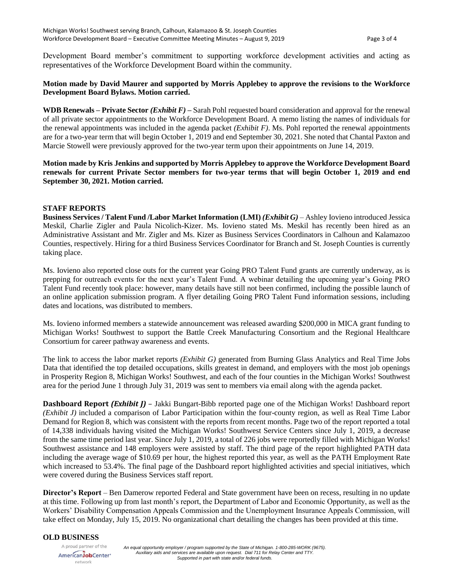Development Board member's commitment to supporting workforce development activities and acting as representatives of the Workforce Development Board within the community.

### **Motion made by David Maurer and supported by Morris Applebey to approve the revisions to the Workforce Development Board Bylaws. Motion carried.**

**WDB Renewals – Private Sector** *(Exhibit F)* **–** Sarah Pohl requested board consideration and approval for the renewal of all private sector appointments to the Workforce Development Board. A memo listing the names of individuals for the renewal appointments was included in the agenda packet *(Exhibit F)*. Ms. Pohl reported the renewal appointments are for a two-year term that will begin October 1, 2019 and end September 30, 2021. She noted that Chantal Paxton and Marcie Stowell were previously approved for the two-year term upon their appointments on June 14, 2019.

## **Motion made by Kris Jenkins and supported by Morris Applebey to approve the Workforce Development Board renewals for current Private Sector members for two-year terms that will begin October 1, 2019 and end September 30, 2021. Motion carried.**

#### **STAFF REPORTS**

**Business Services / Talent Fund /Labor Market Information (LMI)** *(Exhibit G)* – Ashley Iovieno introduced Jessica Meskil, Charlie Zigler and Paula Nicolich-Kizer. Ms. Iovieno stated Ms. Meskil has recently been hired as an Administrative Assistant and Mr. Zigler and Ms. Kizer as Business Services Coordinators in Calhoun and Kalamazoo Counties, respectively. Hiring for a third Business Services Coordinator for Branch and St. Joseph Counties is currently taking place.

Ms. Iovieno also reported close outs for the current year Going PRO Talent Fund grants are currently underway, as is prepping for outreach events for the next year's Talent Fund. A webinar detailing the upcoming year's Going PRO Talent Fund recently took place: however, many details have still not been confirmed, including the possible launch of an online application submission program. A flyer detailing Going PRO Talent Fund information sessions, including dates and locations, was distributed to members.

Ms. Iovieno informed members a statewide announcement was released awarding \$200,000 in MICA grant funding to Michigan Works! Southwest to support the Battle Creek Manufacturing Consortium and the Regional Healthcare Consortium for career pathway awareness and events.

The link to access the labor market reports *(Exhibit G)* generated from Burning Glass Analytics and Real Time Jobs Data that identified the top detailed occupations, skills greatest in demand, and employers with the most job openings in Prosperity Region 8, Michigan Works! Southwest, and each of the four counties in the Michigan Works! Southwest area for the period June 1 through July 31, 2019 was sent to members via email along with the agenda packet.

**Dashboard Report** *(Exhibit J)* – Jakki Bungart-Bibb reported page one of the Michigan Works! Dashboard report *(Exhibit J)* included a comparison of Labor Participation within the four-county region, as well as Real Time Labor Demand for Region 8, which was consistent with the reports from recent months. Page two of the report reported a total of 14,338 individuals having visited the Michigan Works! Southwest Service Centers since July 1, 2019, a decrease from the same time period last year. Since July 1, 2019, a total of 226 jobs were reportedly filled with Michigan Works! Southwest assistance and 148 employers were assisted by staff. The third page of the report highlighted PATH data including the average wage of \$10.69 per hour, the highest reported this year, as well as the PATH Employment Rate which increased to 53.4%. The final page of the Dashboard report highlighted activities and special initiatives, which were covered during the Business Services staff report.

**Director's Report** – Ben Damerow reported Federal and State government have been on recess, resulting in no update at this time. Following up from last month's report, the Department of Labor and Economic Opportunity, as well as the Workers' Disability Compensation Appeals Commission and the Unemployment Insurance Appeals Commission, will take effect on Monday, July 15, 2019. No organizational chart detailing the changes has been provided at this time.

#### **OLD BUSINESS**

A proud partner of the AmericanJobCenter\* network